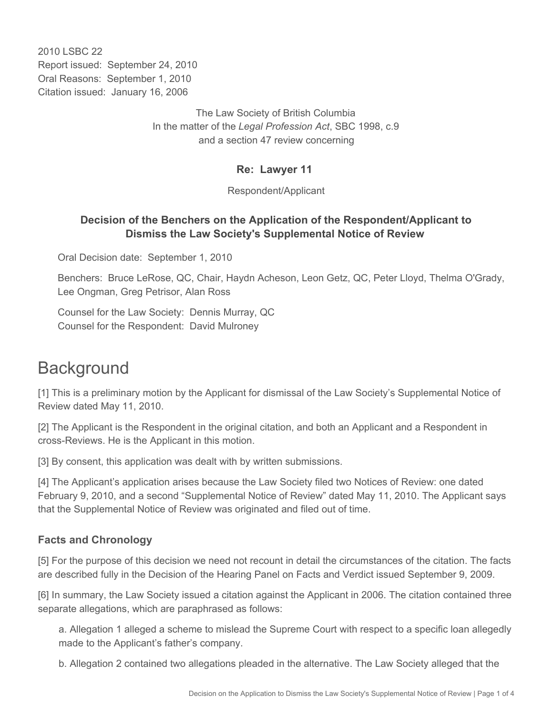2010 LSBC 22 Report issued: September 24, 2010 Oral Reasons: September 1, 2010 Citation issued: January 16, 2006

> The Law Society of British Columbia In the matter of the *Legal Profession Act*, SBC 1998, c.9 and a section 47 review concerning

#### **Re: Lawyer 11**

Respondent/Applicant

## **Decision of the Benchers on the Application of the Respondent/Applicant to Dismiss the Law Society's Supplemental Notice of Review**

Oral Decision date: September 1, 2010

Benchers: Bruce LeRose, QC, Chair, Haydn Acheson, Leon Getz, QC, Peter Lloyd, Thelma O'Grady, Lee Ongman, Greg Petrisor, Alan Ross

Counsel for the Law Society: Dennis Murray, QC Counsel for the Respondent: David Mulroney

# **Background**

[1] This is a preliminary motion by the Applicant for dismissal of the Law Society's Supplemental Notice of Review dated May 11, 2010.

[2] The Applicant is the Respondent in the original citation, and both an Applicant and a Respondent in cross-Reviews. He is the Applicant in this motion.

[3] By consent, this application was dealt with by written submissions.

[4] The Applicant's application arises because the Law Society filed two Notices of Review: one dated February 9, 2010, and a second "Supplemental Notice of Review" dated May 11, 2010. The Applicant says that the Supplemental Notice of Review was originated and filed out of time.

## **Facts and Chronology**

[5] For the purpose of this decision we need not recount in detail the circumstances of the citation. The facts are described fully in the Decision of the Hearing Panel on Facts and Verdict issued September 9, 2009.

[6] In summary, the Law Society issued a citation against the Applicant in 2006. The citation contained three separate allegations, which are paraphrased as follows:

a. Allegation 1 alleged a scheme to mislead the Supreme Court with respect to a specific loan allegedly made to the Applicant's father's company.

b. Allegation 2 contained two allegations pleaded in the alternative. The Law Society alleged that the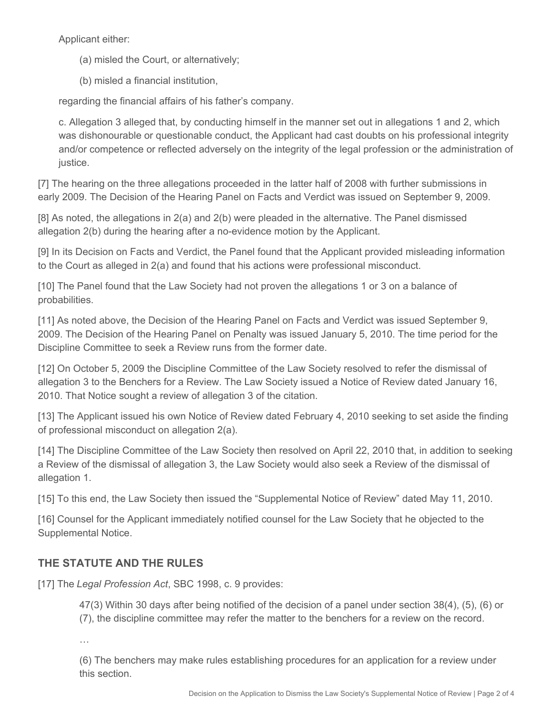Applicant either:

- (a) misled the Court, or alternatively;
- (b) misled a financial institution,

regarding the financial affairs of his father's company.

c. Allegation 3 alleged that, by conducting himself in the manner set out in allegations 1 and 2, which was dishonourable or questionable conduct, the Applicant had cast doubts on his professional integrity and/or competence or reflected adversely on the integrity of the legal profession or the administration of justice.

[7] The hearing on the three allegations proceeded in the latter half of 2008 with further submissions in early 2009. The Decision of the Hearing Panel on Facts and Verdict was issued on September 9, 2009.

[8] As noted, the allegations in 2(a) and 2(b) were pleaded in the alternative. The Panel dismissed allegation 2(b) during the hearing after a no-evidence motion by the Applicant.

[9] In its Decision on Facts and Verdict, the Panel found that the Applicant provided misleading information to the Court as alleged in 2(a) and found that his actions were professional misconduct.

[10] The Panel found that the Law Society had not proven the allegations 1 or 3 on a balance of probabilities.

[11] As noted above, the Decision of the Hearing Panel on Facts and Verdict was issued September 9, 2009. The Decision of the Hearing Panel on Penalty was issued January 5, 2010. The time period for the Discipline Committee to seek a Review runs from the former date.

[12] On October 5, 2009 the Discipline Committee of the Law Society resolved to refer the dismissal of allegation 3 to the Benchers for a Review. The Law Society issued a Notice of Review dated January 16, 2010. That Notice sought a review of allegation 3 of the citation.

[13] The Applicant issued his own Notice of Review dated February 4, 2010 seeking to set aside the finding of professional misconduct on allegation 2(a).

[14] The Discipline Committee of the Law Society then resolved on April 22, 2010 that, in addition to seeking a Review of the dismissal of allegation 3, the Law Society would also seek a Review of the dismissal of allegation 1.

[15] To this end, the Law Society then issued the "Supplemental Notice of Review" dated May 11, 2010.

[16] Counsel for the Applicant immediately notified counsel for the Law Society that he objected to the Supplemental Notice.

## **THE STATUTE AND THE RULES**

[17] The *Legal Profession Act*, SBC 1998, c. 9 provides:

47(3) Within 30 days after being notified of the decision of a panel under section 38(4), (5), (6) or (7), the discipline committee may refer the matter to the benchers for a review on the record.

…

(6) The benchers may make rules establishing procedures for an application for a review under this section.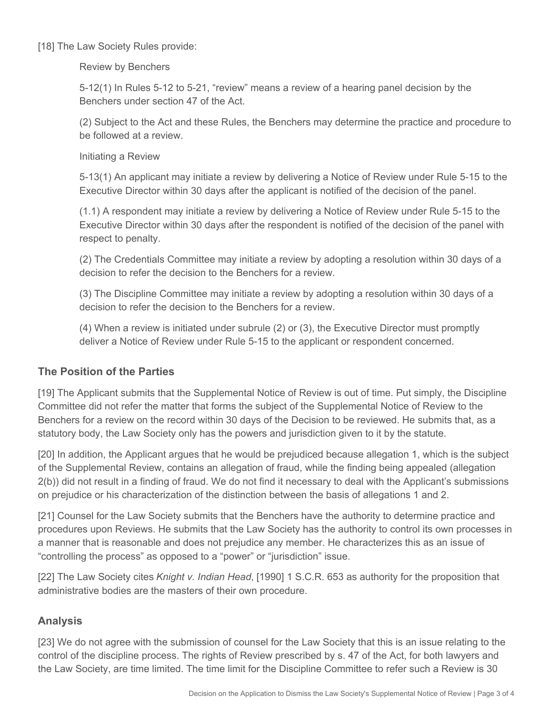[18] The Law Society Rules provide:

Review by Benchers

5-12(1) In Rules 5-12 to 5-21, "review" means a review of a hearing panel decision by the Benchers under section 47 of the Act.

(2) Subject to the Act and these Rules, the Benchers may determine the practice and procedure to be followed at a review.

Initiating a Review

5-13(1) An applicant may initiate a review by delivering a Notice of Review under Rule 5-15 to the Executive Director within 30 days after the applicant is notified of the decision of the panel.

(1.1) A respondent may initiate a review by delivering a Notice of Review under Rule 5-15 to the Executive Director within 30 days after the respondent is notified of the decision of the panel with respect to penalty.

(2) The Credentials Committee may initiate a review by adopting a resolution within 30 days of a decision to refer the decision to the Benchers for a review.

(3) The Discipline Committee may initiate a review by adopting a resolution within 30 days of a decision to refer the decision to the Benchers for a review.

(4) When a review is initiated under subrule (2) or (3), the Executive Director must promptly deliver a Notice of Review under Rule 5-15 to the applicant or respondent concerned.

## **The Position of the Parties**

[19] The Applicant submits that the Supplemental Notice of Review is out of time. Put simply, the Discipline Committee did not refer the matter that forms the subject of the Supplemental Notice of Review to the Benchers for a review on the record within 30 days of the Decision to be reviewed. He submits that, as a statutory body, the Law Society only has the powers and jurisdiction given to it by the statute.

[20] In addition, the Applicant argues that he would be prejudiced because allegation 1, which is the subject of the Supplemental Review, contains an allegation of fraud, while the finding being appealed (allegation 2(b)) did not result in a finding of fraud. We do not find it necessary to deal with the Applicant's submissions on prejudice or his characterization of the distinction between the basis of allegations 1 and 2.

[21] Counsel for the Law Society submits that the Benchers have the authority to determine practice and procedures upon Reviews. He submits that the Law Society has the authority to control its own processes in a manner that is reasonable and does not prejudice any member. He characterizes this as an issue of "controlling the process" as opposed to a "power" or "jurisdiction" issue.

[22] The Law Society cites *Knight v. Indian Head*, [1990] 1 S.C.R. 653 as authority for the proposition that administrative bodies are the masters of their own procedure.

## **Analysis**

[23] We do not agree with the submission of counsel for the Law Society that this is an issue relating to the control of the discipline process. The rights of Review prescribed by s. 47 of the Act, for both lawyers and the Law Society, are time limited. The time limit for the Discipline Committee to refer such a Review is 30